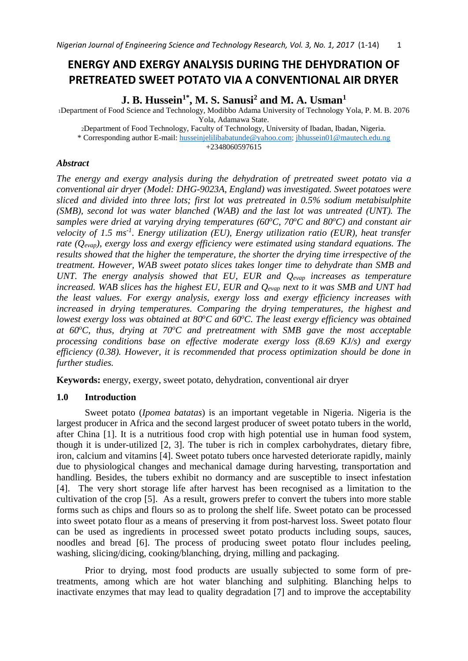# **ENERGY AND EXERGY ANALYSIS DURING THE DEHYDRATION OF PRETREATED SWEET POTATO VIA A CONVENTIONAL AIR DRYER**

**J. B. Hussein1\* , M. S. Sanusi<sup>2</sup> and M. A. Usman<sup>1</sup>**

<sup>1</sup>Department of Food Science and Technology, Modibbo Adama University of Technology Yola, P. M. B. 2076 Yola, Adamawa State.

<sup>2</sup>Department of Food Technology, Faculty of Technology, University of Ibadan, Ibadan, Nigeria.

\* Corresponding author E-mail: [husseinjelilibabatunde@yahoo.com;](mailto:husseinjelilibabatunde@yahoo.com) [jbhussein01@mautech.edu.ng](mailto:jbhussein01@mautech.edu.ng) 

+2348060597615

# *Abstract*

*The energy and exergy analysis during the dehydration of pretreated sweet potato via a conventional air dryer (Model: DHG-9023A, England) was investigated. Sweet potatoes were sliced and divided into three lots; first lot was pretreated in 0.5% sodium metabisulphite (SMB), second lot was water blanched (WAB) and the last lot was untreated (UNT). The samples were dried at varying drying temperatures (60<sup>o</sup>C, 70<sup>o</sup>C and 80<sup>o</sup>C) and constant air velocity of 1.5 ms-1 . Energy utilization (EU), Energy utilization ratio (EUR), heat transfer rate (Qevap), exergy loss and exergy efficiency were estimated using standard equations. The results showed that the higher the temperature, the shorter the drying time irrespective of the treatment. However, WAB sweet potato slices takes longer time to dehydrate than SMB and UNT. The energy analysis showed that EU, EUR and Qevap increases as temperature increased. WAB slices has the highest EU, EUR and Qevap next to it was SMB and UNT had the least values. For exergy analysis, exergy loss and exergy efficiency increases with increased in drying temperatures. Comparing the drying temperatures, the highest and lowest exergy loss was obtained at 80<sup>o</sup>C and 60<sup>o</sup>C. The least exergy efficiency was obtained at 60<sup>o</sup>C, thus, drying at 70<sup>o</sup>C and pretreatment with SMB gave the most acceptable processing conditions base on effective moderate exergy loss (8.69 KJ/s) and exergy efficiency (0.38). However, it is recommended that process optimization should be done in further studies.*

**Keywords:** energy, exergy, sweet potato, dehydration, conventional air dryer

# **1.0 Introduction**

Sweet potato (*Ipomea batatas*) is an important vegetable in Nigeria. Nigeria is the largest producer in Africa and the second largest producer of sweet potato tubers in the world, after China [1]. It is a nutritious food crop with high potential use in human food system, though it is under-utilized [2, 3]. The tuber is rich in complex carbohydrates, dietary fibre, iron, calcium and vitamins [4]. Sweet potato tubers once harvested deteriorate rapidly, mainly due to physiological changes and mechanical damage during harvesting, transportation and handling. Besides, the tubers exhibit no dormancy and are susceptible to insect infestation [4]. The very short storage life after harvest has been recognised as a limitation to the cultivation of the crop [5]. As a result, growers prefer to convert the tubers into more stable forms such as chips and flours so as to prolong the shelf life. Sweet potato can be processed into sweet potato flour as a means of preserving it from post-harvest loss. Sweet potato flour can be used as ingredients in processed sweet potato products including soups, sauces, noodles and bread [6]. The process of producing sweet potato flour includes peeling, washing, slicing/dicing, cooking/blanching, drying, milling and packaging.

Prior to drying, most food products are usually subjected to some form of pretreatments, among which are hot water blanching and sulphiting. Blanching helps to inactivate enzymes that may lead to quality degradation [7] and to improve the acceptability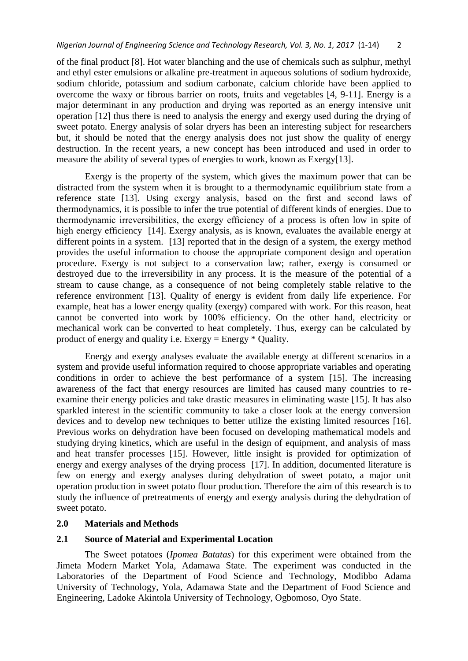of the final product [8]. Hot water blanching and the use of chemicals such as sulphur, methyl and ethyl ester emulsions or alkaline pre-treatment in aqueous solutions of sodium hydroxide, sodium chloride, potassium and sodium carbonate, calcium chloride have been applied to overcome the waxy or fibrous barrier on roots, fruits and vegetables [4, 9-11]. Energy is a major determinant in any production and drying was reported as an energy intensive unit operation [12] thus there is need to analysis the energy and exergy used during the drying of sweet potato. Energy analysis of solar dryers has been an interesting subject for researchers but, it should be noted that the energy analysis does not just show the quality of energy destruction. In the recent years, a new concept has been introduced and used in order to measure the ability of several types of energies to work, known as Exergy[13].

Exergy is the property of the system, which gives the maximum power that can be distracted from the system when it is brought to a thermodynamic equilibrium state from a reference state [13]. Using exergy analysis, based on the first and second laws of thermodynamics, it is possible to infer the true potential of different kinds of energies. Due to thermodynamic irreversibilities, the exergy efficiency of a process is often low in spite of high energy efficiency [14]. Exergy analysis, as is known, evaluates the available energy at different points in a system. [13] reported that in the design of a system, the exergy method provides the useful information to choose the appropriate component design and operation procedure. Exergy is not subject to a conservation law; rather, exergy is consumed or destroyed due to the irreversibility in any process. It is the measure of the potential of a stream to cause change, as a consequence of not being completely stable relative to the reference environment [13]. Quality of energy is evident from daily life experience. For example, heat has a lower energy quality (exergy) compared with work. For this reason, heat cannot be converted into work by 100% efficiency. On the other hand, electricity or mechanical work can be converted to heat completely. Thus, exergy can be calculated by product of energy and quality i.e. Exergy = Energy \* Quality.

Energy and exergy analyses evaluate the available energy at different scenarios in a system and provide useful information required to choose appropriate variables and operating conditions in order to achieve the best performance of a system [15]. The increasing awareness of the fact that energy resources are limited has caused many countries to reexamine their energy policies and take drastic measures in eliminating waste [15]. It has also sparkled interest in the scientific community to take a closer look at the energy conversion devices and to develop new techniques to better utilize the existing limited resources [16]. Previous works on dehydration have been focused on developing mathematical models and studying drying kinetics, which are useful in the design of equipment, and analysis of mass and heat transfer processes [15]. However, little insight is provided for optimization of energy and exergy analyses of the drying process [17]. In addition, documented literature is few on energy and exergy analyses during dehydration of sweet potato, a major unit operation production in sweet potato flour production. Therefore the aim of this research is to study the influence of pretreatments of energy and exergy analysis during the dehydration of sweet potato.

#### **2.0 Materials and Methods**

### **2.1 Source of Material and Experimental Location**

The Sweet potatoes (*Ipomea Batatas*) for this experiment were obtained from the Jimeta Modern Market Yola, Adamawa State. The experiment was conducted in the Laboratories of the Department of Food Science and Technology, Modibbo Adama University of Technology, Yola, Adamawa State and the Department of Food Science and Engineering, Ladoke Akintola University of Technology, Ogbomoso, Oyo State.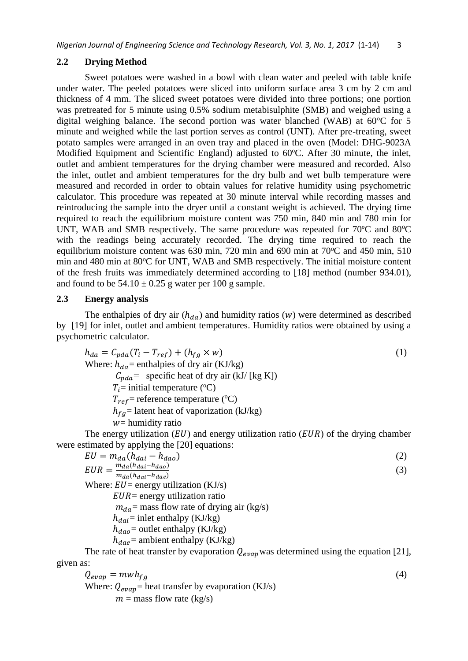## **2.2 Drying Method**

Sweet potatoes were washed in a bowl with clean water and peeled with table knife under water. The peeled potatoes were sliced into uniform surface area 3 cm by 2 cm and thickness of 4 mm. The sliced sweet potatoes were divided into three portions; one portion was pretreated for 5 minute using  $0.5\%$  sodium metabisulphite (SMB) and weighed using a digital weighing balance. The second portion was water blanched (WAB) at 60°C for 5 minute and weighed while the last portion serves as control (UNT). After pre-treating, sweet potato samples were arranged in an oven tray and placed in the oven (Model: DHG-9023A Modified Equipment and Scientific England) adjusted to 60ºC. After 30 minute, the inlet, outlet and ambient temperatures for the drying chamber were measured and recorded. Also the inlet, outlet and ambient temperatures for the dry bulb and wet bulb temperature were measured and recorded in order to obtain values for relative humidity using psychometric calculator. This procedure was repeated at 30 minute interval while recording masses and reintroducing the sample into the dryer until a constant weight is achieved. The drying time required to reach the equilibrium moisture content was 750 min, 840 min and 780 min for UNT, WAB and SMB respectively. The same procedure was repeated for  $70^{\circ}$ C and  $80^{\circ}$ C with the readings being accurately recorded. The drying time required to reach the equilibrium moisture content was  $630$  min,  $720$  min and  $690$  min at  $70^{\circ}$ C and  $450$  min,  $510$ min and 480 min at 80°C for UNT, WAB and SMB respectively. The initial moisture content of the fresh fruits was immediately determined according to [18] method (number 934.01), and found to be  $54.10 \pm 0.25$  g water per 100 g sample.

# **2.3 Energy analysis**

The enthalpies of dry air  $(h_{da})$  and humidity ratios (w) were determined as described by [19] for inlet, outlet and ambient temperatures. Humidity ratios were obtained by using a psychometric calculator.

$$
h_{da} = C_{pda}(T_i - T_{ref}) + (h_{fg} \times w)
$$
  
\nWhere:  $h_{da}$  = enthalpies of dry air (KJ/kg)  
\n $C_{pda}$  = specific heat of dry air (kJ/ [kg K])  
\n $T_i$  = initial temperature (°C)  
\n $T_{ref}$  = reference temperature (°C)  
\n $h_{fg}$  = latent heat of vaporization (kJ/kg)  
\nwe humidity ratio

The energy utilization  $(EU)$  and energy utilization ratio  $(EUR)$  of the drying chamber were estimated by applying the [20] equations:

$$
EU = m_{da}(h_{dai} - h_{dao})
$$
\n(2)  
\n
$$
EUR = \frac{m_{da}(h_{dai} - h_{dao})}{m_{da}(h_{dai} - h_{dae})}
$$
\n(3)  
\nWhere:  $EU =$  energy utilization (KJ/s)  
\n
$$
EUR =
$$
 energy utilization ratio  
\n
$$
m_{da} =
$$
 mass flow rate of drying air (kg/s)  
\n
$$
h_{dai} =
$$
 inlet enthalpy (KJ/kg)  
\n
$$
h_{dao} =
$$
 outlet enthalpy (KJ/kg)  
\n
$$
h_{dae} =
$$
 ambient enthalpy (KJ/kg)  
\nThe rate of heat transfer by evaporation  $Q_{evap}$  was determined using the equation [21],  
\ngiven as:

 $Q_{evap} = mwh_{fg}$  (4) Where:  $Q_{evap}$  heat transfer by evaporation (KJ/s)  $m =$  mass flow rate (kg/s)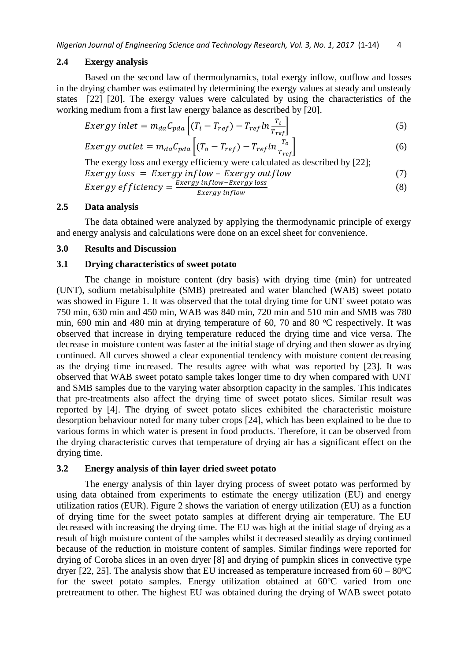#### **2.4 Exergy analysis**

Based on the second law of thermodynamics, total exergy inflow, outflow and losses in the drying chamber was estimated by determining the exergy values at steady and unsteady states [22] [20]. The exergy values were calculated by using the characteristics of the working medium from a first law energy balance as described by [20].

$$
Exergy\ inlet = m_{da}C_{pda} \left[ (T_i - T_{ref}) - T_{ref} \ln \frac{T_i}{T_{ref}} \right]
$$
\n
$$
\tag{5}
$$

$$
Exergy\ outlet = m_{da}C_{pda} \left[ (T_o - T_{ref}) - T_{ref} \ln \frac{T_o}{T_{ref}} \right]
$$
 (6)

The exergy loss and exergy efficiency were calculated as described by [22];  $Exergy loss = Exergy inflow - Exergy outflow$  (7) *Exergy efficiency* =  $\frac{exergy\ inflow-Exergy\ loss}{Eress\ minflow}$  $(8)$ 

$$
E \times E \times E \times E \times E
$$

## **2.5 Data analysis**

The data obtained were analyzed by applying the thermodynamic principle of exergy and energy analysis and calculations were done on an excel sheet for convenience.

#### **3.0 Results and Discussion**

# **3.1 Drying characteristics of sweet potato**

The change in moisture content (dry basis) with drying time (min) for untreated (UNT), sodium metabisulphite (SMB) pretreated and water blanched (WAB) sweet potato was showed in Figure 1. It was observed that the total drying time for UNT sweet potato was 750 min, 630 min and 450 min, WAB was 840 min, 720 min and 510 min and SMB was 780 min, 690 min and 480 min at drying temperature of 60, 70 and 80  $^{\circ}$ C respectively. It was observed that increase in drying temperature reduced the drying time and vice versa. The decrease in moisture content was faster at the initial stage of drying and then slower as drying continued. All curves showed a clear exponential tendency with moisture content decreasing as the drying time increased. The results agree with what was reported by [23]. It was observed that WAB sweet potato sample takes longer time to dry when compared with UNT and SMB samples due to the varying water absorption capacity in the samples. This indicates that pre-treatments also affect the drying time of sweet potato slices. Similar result was reported by [4]. The drying of sweet potato slices exhibited the characteristic moisture desorption behaviour noted for many tuber crops [24], which has been explained to be due to various forms in which water is present in food products. Therefore, it can be observed from the drying characteristic curves that temperature of drying air has a significant effect on the drying time.

#### **3.2 Energy analysis of thin layer dried sweet potato**

The energy analysis of thin layer drying process of sweet potato was performed by using data obtained from experiments to estimate the energy utilization (EU) and energy utilization ratios (EUR). Figure 2 shows the variation of energy utilization (EU) as a function of drying time for the sweet potato samples at different drying air temperature. The EU decreased with increasing the drying time. The EU was high at the initial stage of drying as a result of high moisture content of the samples whilst it decreased steadily as drying continued because of the reduction in moisture content of samples. Similar findings were reported for drying of Coroba slices in an oven dryer [8] and drying of pumpkin slices in convective type dryer [22, 25]. The analysis show that EU increased as temperature increased from  $60 - 80^{\circ}$ C for the sweet potato samples. Energy utilization obtained at  $60^{\circ}$ C varied from one pretreatment to other. The highest EU was obtained during the drying of WAB sweet potato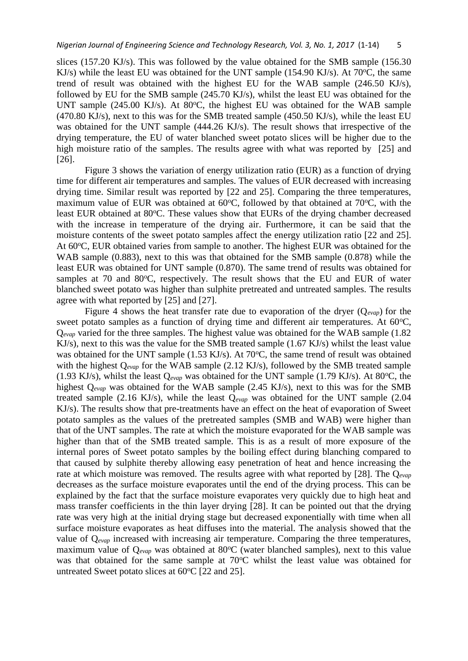slices (157.20 KJ/s). This was followed by the value obtained for the SMB sample (156.30 KJ/s) while the least EU was obtained for the UNT sample (154.90 KJ/s). At  $70^{\circ}$ C, the same trend of result was obtained with the highest EU for the WAB sample (246.50 KJ/s), followed by EU for the SMB sample (245.70 KJ/s), whilst the least EU was obtained for the UNT sample (245.00 KJ/s). At 80 $\degree$ C, the highest EU was obtained for the WAB sample (470.80 KJ/s), next to this was for the SMB treated sample (450.50 KJ/s), while the least EU was obtained for the UNT sample (444.26 KJ/s). The result shows that irrespective of the drying temperature, the EU of water blanched sweet potato slices will be higher due to the high moisture ratio of the samples. The results agree with what was reported by [25] and [26].

Figure 3 shows the variation of energy utilization ratio (EUR) as a function of drying time for different air temperatures and samples. The values of EUR decreased with increasing drying time. Similar result was reported by [22 and 25]. Comparing the three temperatures, maximum value of EUR was obtained at  $60^{\circ}$ C, followed by that obtained at  $70^{\circ}$ C, with the least EUR obtained at 80 °C. These values show that EURs of the drying chamber decreased with the increase in temperature of the drying air. Furthermore, it can be said that the moisture contents of the sweet potato samples affect the energy utilization ratio [22 and 25]. At 60 °C, EUR obtained varies from sample to another. The highest EUR was obtained for the WAB sample (0.883), next to this was that obtained for the SMB sample (0.878) while the least EUR was obtained for UNT sample (0.870). The same trend of results was obtained for samples at 70 and 80°C, respectively. The result shows that the EU and EUR of water blanched sweet potato was higher than sulphite pretreated and untreated samples. The results agree with what reported by [25] and [27].

Figure 4 shows the heat transfer rate due to evaporation of the dryer (Q*evap*) for the sweet potato samples as a function of drying time and different air temperatures. At  $60^{\circ}$ C, Q<sub>evap</sub> varied for the three samples. The highest value was obtained for the WAB sample (1.82) KJ/s), next to this was the value for the SMB treated sample (1.67 KJ/s) whilst the least value was obtained for the UNT sample (1.53 KJ/s). At  $70^{\circ}$ C, the same trend of result was obtained with the highest Q<sub>evap</sub> for the WAB sample (2.12 KJ/s), followed by the SMB treated sample (1.93 KJ/s), whilst the least  $Q_{evap}$  was obtained for the UNT sample (1.79 KJ/s). At 80<sup>o</sup>C, the highest Q*evap* was obtained for the WAB sample (2.45 KJ/s), next to this was for the SMB treated sample (2.16 KJ/s), while the least Q*evap* was obtained for the UNT sample (2.04 KJ/s). The results show that pre-treatments have an effect on the heat of evaporation of Sweet potato samples as the values of the pretreated samples (SMB and WAB) were higher than that of the UNT samples. The rate at which the moisture evaporated for the WAB sample was higher than that of the SMB treated sample. This is as a result of more exposure of the internal pores of Sweet potato samples by the boiling effect during blanching compared to that caused by sulphite thereby allowing easy penetration of heat and hence increasing the rate at which moisture was removed. The results agree with what reported by [28]. The Q*evap* decreases as the surface moisture evaporates until the end of the drying process. This can be explained by the fact that the surface moisture evaporates very quickly due to high heat and mass transfer coefficients in the thin layer drying [28]. It can be pointed out that the drying rate was very high at the initial drying stage but decreased exponentially with time when all surface moisture evaporates as heat diffuses into the material. The analysis showed that the value of Q*evap* increased with increasing air temperature. Comparing the three temperatures, maximum value of Q<sub>evap</sub> was obtained at 80°C (water blanched samples), next to this value was that obtained for the same sample at  $70^{\circ}$ C whilst the least value was obtained for untreated Sweet potato slices at  $60^{\circ}$ C [22 and 25].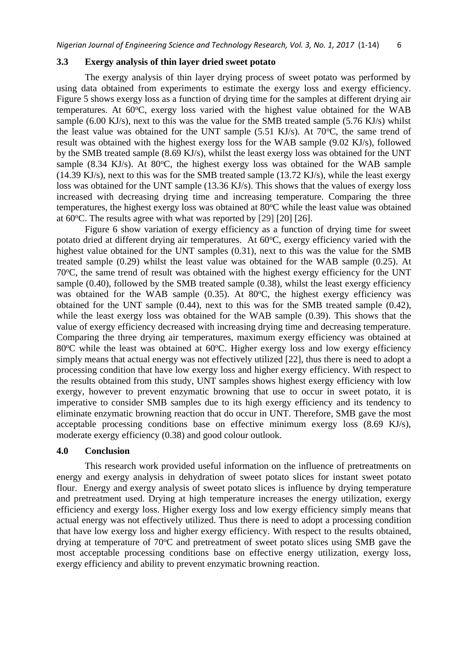#### **3.3 Exergy analysis of thin layer dried sweet potato**

The exergy analysis of thin layer drying process of sweet potato was performed by using data obtained from experiments to estimate the exergy loss and exergy efficiency. Figure 5 shows exergy loss as a function of drying time for the samples at different drying air temperatures. At  $60^{\circ}$ C, exergy loss varied with the highest value obtained for the WAB sample (6.00 KJ/s), next to this was the value for the SMB treated sample (5.76 KJ/s) whilst the least value was obtained for the UNT sample  $(5.51 \text{ KJ/s})$ . At  $70^{\circ}\text{C}$ , the same trend of result was obtained with the highest exergy loss for the WAB sample (9.02 KJ/s), followed by the SMB treated sample (8.69 KJ/s), whilst the least exergy loss was obtained for the UNT sample (8.34 KJ/s). At 80 $\degree$ C, the highest exergy loss was obtained for the WAB sample (14.39 KJ/s), next to this was for the SMB treated sample (13.72 KJ/s), while the least exergy loss was obtained for the UNT sample (13.36 KJ/s). This shows that the values of exergy loss increased with decreasing drying time and increasing temperature. Comparing the three temperatures, the highest exergy loss was obtained at  $80^{\circ}$ C while the least value was obtained at  $60^{\circ}$ C. The results agree with what was reported by [29] [20] [26].

Figure 6 show variation of exergy efficiency as a function of drying time for sweet potato dried at different drying air temperatures. At  $60^{\circ}$ C, exergy efficiency varied with the highest value obtained for the UNT samples (0.31), next to this was the value for the SMB treated sample (0.29) whilst the least value was obtained for the WAB sample (0.25). At 70<sup>o</sup>C, the same trend of result was obtained with the highest exergy efficiency for the UNT sample  $(0.40)$ , followed by the SMB treated sample  $(0.38)$ , whilst the least exergy efficiency was obtained for the WAB sample  $(0.35)$ . At 80 $\degree$ C, the highest exergy efficiency was obtained for the UNT sample (0.44), next to this was for the SMB treated sample (0.42), while the least exergy loss was obtained for the WAB sample  $(0.39)$ . This shows that the value of exergy efficiency decreased with increasing drying time and decreasing temperature. Comparing the three drying air temperatures, maximum exergy efficiency was obtained at 80 $\degree$ C while the least was obtained at 60 $\degree$ C. Higher exergy loss and low exergy efficiency simply means that actual energy was not effectively utilized [22], thus there is need to adopt a processing condition that have low exergy loss and higher exergy efficiency. With respect to the results obtained from this study, UNT samples shows highest exergy efficiency with low exergy, however to prevent enzymatic browning that use to occur in sweet potato, it is imperative to consider SMB samples due to its high exergy efficiency and its tendency to eliminate enzymatic browning reaction that do occur in UNT. Therefore, SMB gave the most acceptable processing conditions base on effective minimum exergy loss (8.69 KJ/s), moderate exergy efficiency (0.38) and good colour outlook.

### **4.0 Conclusion**

This research work provided useful information on the influence of pretreatments on energy and exergy analysis in dehydration of sweet potato slices for instant sweet potato flour. Energy and exergy analysis of sweet potato slices is influence by drying temperature and pretreatment used. Drying at high temperature increases the energy utilization, exergy efficiency and exergy loss. Higher exergy loss and low exergy efficiency simply means that actual energy was not effectively utilized. Thus there is need to adopt a processing condition that have low exergy loss and higher exergy efficiency. With respect to the results obtained, drying at temperature of 70<sup>o</sup>C and pretreatment of sweet potato slices using SMB gave the most acceptable processing conditions base on effective energy utilization, exergy loss, exergy efficiency and ability to prevent enzymatic browning reaction.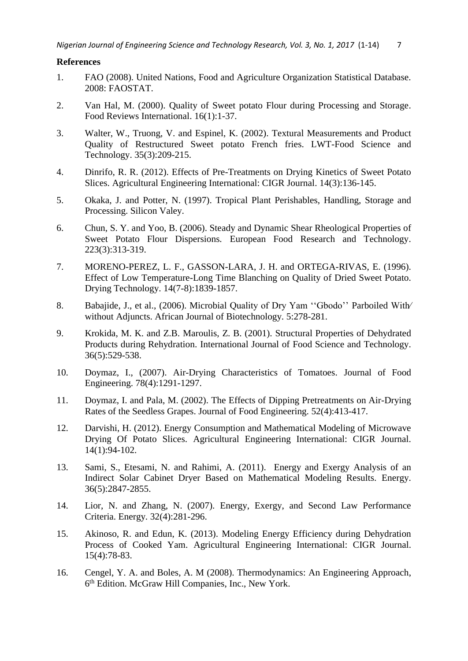# **References**

- 1. FAO (2008). United Nations, Food and Agriculture Organization Statistical Database. 2008: FAOSTAT.
- 2. Van Hal, M. (2000). Quality of Sweet potato Flour during Processing and Storage. Food Reviews International. 16(1):1-37.
- 3. Walter, W., Truong, V. and Espinel, K. (2002). Textural Measurements and Product Quality of Restructured Sweet potato French fries. LWT-Food Science and Technology. 35(3):209-215.
- 4. Dinrifo, R. R. (2012). Effects of Pre-Treatments on Drying Kinetics of Sweet Potato Slices. Agricultural Engineering International: CIGR Journal. 14(3):136-145.
- 5. Okaka, J. and Potter, N. (1997). Tropical Plant Perishables, Handling, Storage and Processing. Silicon Valey.
- 6. Chun, S. Y. and Yoo, B. (2006). Steady and Dynamic Shear Rheological Properties of Sweet Potato Flour Dispersions*.* European Food Research and Technology. 223(3):313-319.
- 7. MORENO-PEREZ, L. F., GASSON-LARA, J. H. and ORTEGA-RIVAS, E. (1996). Effect of Low Temperature-Long Time Blanching on Quality of Dried Sweet Potato. Drying Technology. 14(7-8):1839-1857.
- 8. Babajide, J., et al., (2006). Microbial Quality of Dry Yam "Gbodo" Parboiled With without Adjuncts. African Journal of Biotechnology. 5:278-281.
- 9. Krokida, M. K. and Z.B. Maroulis, Z. B. (2001). Structural Properties of Dehydrated Products during Rehydration. International Journal of Food Science and Technology. 36(5):529-538.
- 10. Doymaz, I., (2007). Air-Drying Characteristics of Tomatoes. Journal of Food Engineering. 78(4):1291-1297.
- 11. Doymaz, I. and Pala, M. (2002). The Effects of Dipping Pretreatments on Air-Drying Rates of the Seedless Grapes. Journal of Food Engineering. 52(4):413-417.
- 12. Darvishi, H. (2012). Energy Consumption and Mathematical Modeling of Microwave Drying Of Potato Slices. Agricultural Engineering International: CIGR Journal. 14(1):94-102.
- 13. Sami, S., Etesami, N. and Rahimi, A. (2011). Energy and Exergy Analysis of an Indirect Solar Cabinet Dryer Based on Mathematical Modeling Results. Energy. 36(5):2847-2855.
- 14. Lior, N. and Zhang, N. (2007). Energy, Exergy, and Second Law Performance Criteria. Energy. 32(4):281-296.
- 15. Akinoso, R. and Edun, K. (2013). Modeling Energy Efficiency during Dehydration Process of Cooked Yam. Agricultural Engineering International: CIGR Journal. 15(4):78-83.
- 16. Cengel, Y. A. and Boles, A. M (2008). Thermodynamics: An Engineering Approach, 6 th Edition. McGraw Hill Companies, Inc., New York.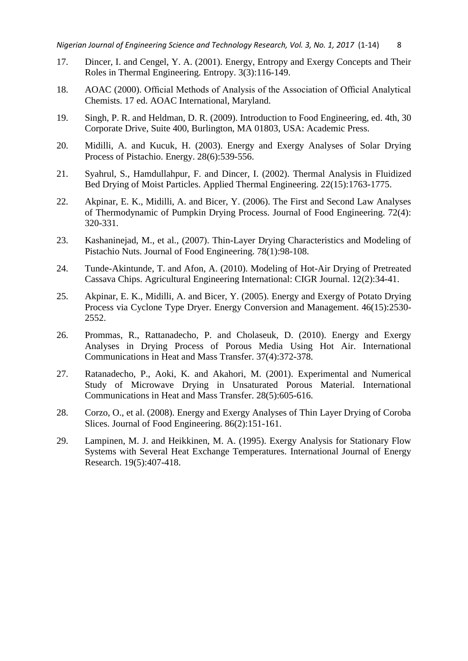- 17. Dincer, I. and Cengel, Y. A. (2001). Energy, Entropy and Exergy Concepts and Their Roles in Thermal Engineering. Entropy. 3(3):116-149.
- 18. AOAC (2000). Official Methods of Analysis of the Association of Official Analytical Chemists. 17 ed. AOAC International, Maryland.
- 19. Singh, P. R. and Heldman, D. R. (2009). Introduction to Food Engineering, ed. 4th, 30 Corporate Drive, Suite 400, Burlington, MA 01803, USA: Academic Press.
- 20. Midilli, A. and Kucuk, H. (2003). Energy and Exergy Analyses of Solar Drying Process of Pistachio. Energy. 28(6):539-556.
- 21. Syahrul, S., Hamdullahpur, F. and Dincer, I. (2002). Thermal Analysis in Fluidized Bed Drying of Moist Particles. Applied Thermal Engineering. 22(15):1763-1775.
- 22. Akpinar, E. K., Midilli, A. and Bicer, Y. (2006). The First and Second Law Analyses of Thermodynamic of Pumpkin Drying Process. Journal of Food Engineering. 72(4): 320-331.
- 23. Kashaninejad, M., et al., (2007). Thin-Layer Drying Characteristics and Modeling of Pistachio Nuts. Journal of Food Engineering. 78(1):98-108.
- 24. Tunde-Akintunde, T. and Afon, A. (2010). Modeling of Hot-Air Drying of Pretreated Cassava Chips. Agricultural Engineering International: CIGR Journal. 12(2):34-41.
- 25. Akpinar, E. K., Midilli, A. and Bicer, Y. (2005). Energy and Exergy of Potato Drying Process via Cyclone Type Dryer. Energy Conversion and Management. 46(15):2530- 2552.
- 26. Prommas, R., Rattanadecho, P. and Cholaseuk, D. (2010). Energy and Exergy Analyses in Drying Process of Porous Media Using Hot Air. International Communications in Heat and Mass Transfer. 37(4):372-378.
- 27. Ratanadecho, P., Aoki, K. and Akahori, M. (2001). Experimental and Numerical Study of Microwave Drying in Unsaturated Porous Material. International Communications in Heat and Mass Transfer. 28(5):605-616.
- 28. Corzo, O., et al. (2008). Energy and Exergy Analyses of Thin Layer Drying of Coroba Slices. Journal of Food Engineering. 86(2):151-161.
- 29. Lampinen, M. J. and Heikkinen, M. A. (1995). Exergy Analysis for Stationary Flow Systems with Several Heat Exchange Temperatures*.* International Journal of Energy Research. 19(5):407-418.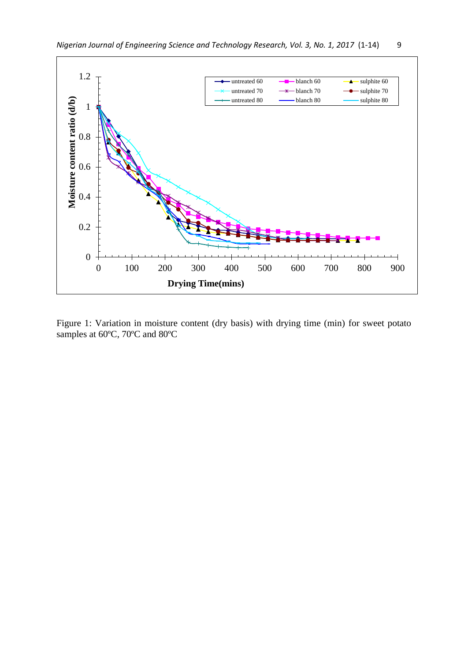

Figure 1: Variation in moisture content (dry basis) with drying time (min) for sweet potato samples at 60ºC, 70ºC and 80ºC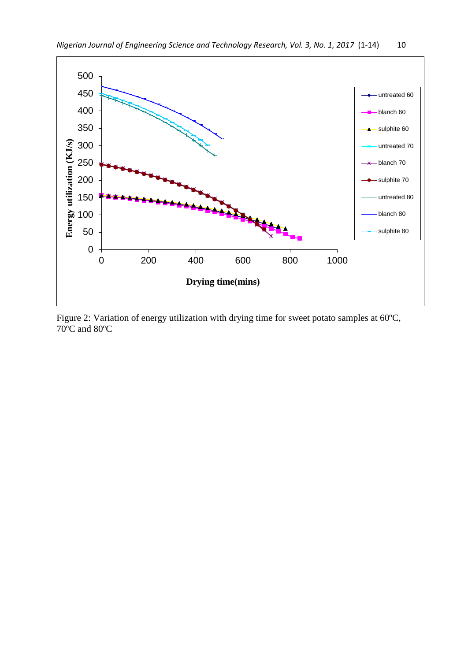

Figure 2: Variation of energy utilization with drying time for sweet potato samples at 60ºC, 70ºC and 80ºC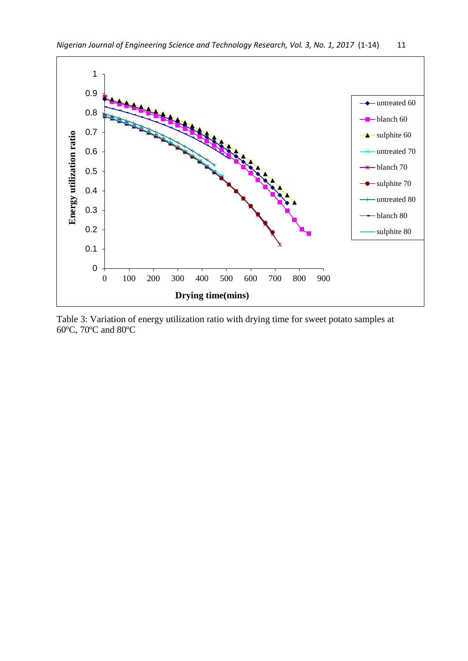

Table 3: Variation of energy utilization ratio with drying time for sweet potato samples at 60ºC, 70ºC and 80ºC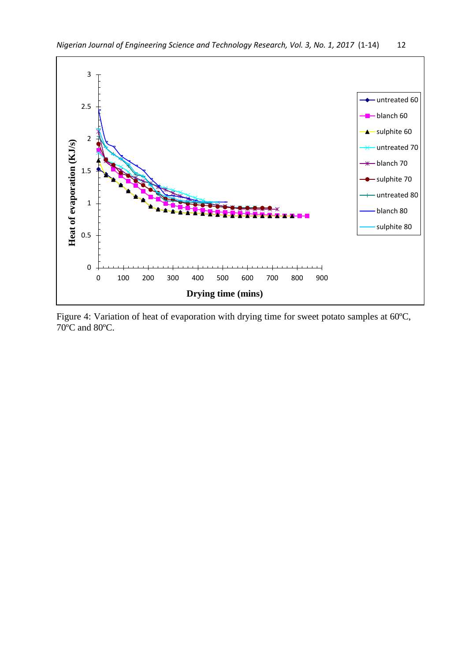

Figure 4: Variation of heat of evaporation with drying time for sweet potato samples at 60ºC, 70ºC and 80ºC.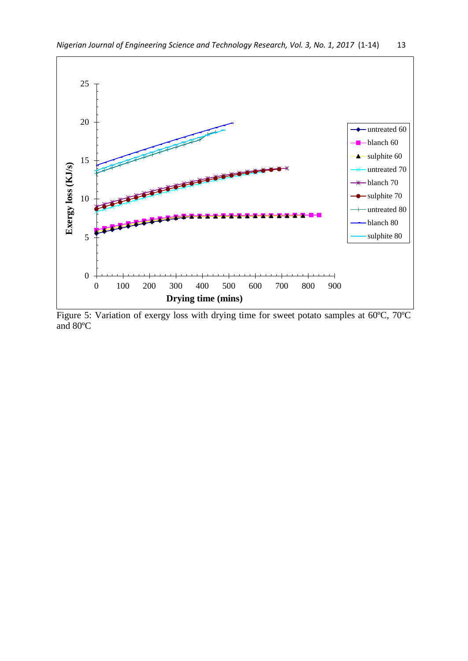

Figure 5: Variation of exergy loss with drying time for sweet potato samples at 60ºC, 70ºC and 80ºC